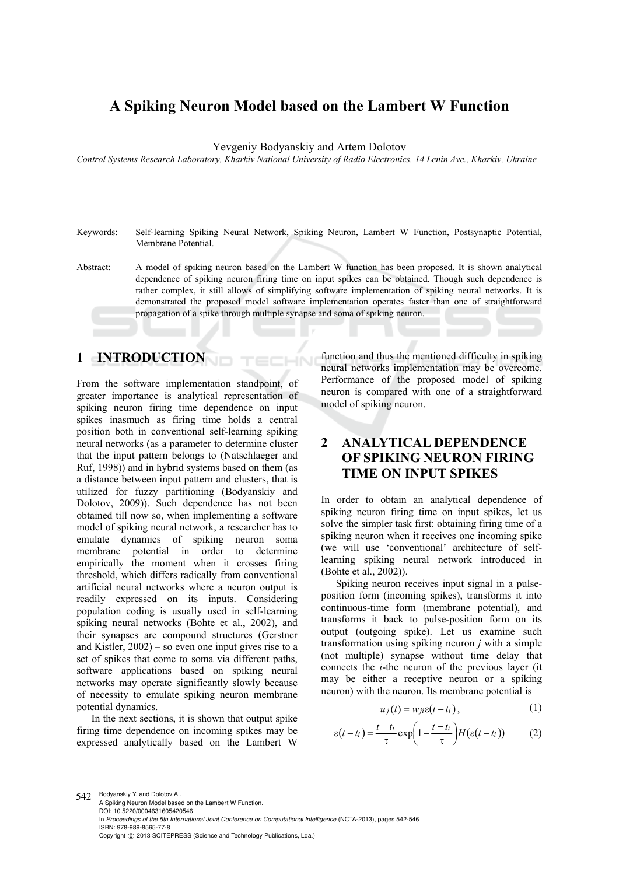# **A Spiking Neuron Model based on the Lambert W Function**

Yevgeniy Bodyanskiy and Artem Dolotov

*Control Systems Research Laboratory, Kharkiv National University of Radio Electronics, 14 Lenin Ave., Kharkiv, Ukraine* 

- Keywords: Self-learning Spiking Neural Network, Spiking Neuron, Lambert W Function, Postsynaptic Potential, Membrane Potential.
- Abstract: A model of spiking neuron based on the Lambert W function has been proposed. It is shown analytical dependence of spiking neuron firing time on input spikes can be obtained. Though such dependence is rather complex, it still allows of simplifying software implementation of spiking neural networks. It is demonstrated the proposed model software implementation operates faster than one of straightforward propagation of a spike through multiple synapse and soma of spiking neuron.

### **1 INTRODUCTION**

From the software implementation standpoint, of greater importance is analytical representation of spiking neuron firing time dependence on input spikes inasmuch as firing time holds a central position both in conventional self-learning spiking neural networks (as a parameter to determine cluster that the input pattern belongs to (Natschlaeger and Ruf, 1998)) and in hybrid systems based on them (as a distance between input pattern and clusters, that is utilized for fuzzy partitioning (Bodyanskiy and Dolotov, 2009)). Such dependence has not been obtained till now so, when implementing a software model of spiking neural network, a researcher has to emulate dynamics of spiking neuron soma membrane potential in order to determine empirically the moment when it crosses firing threshold, which differs radically from conventional artificial neural networks where a neuron output is readily expressed on its inputs. Considering population coding is usually used in self-learning spiking neural networks (Bohte et al., 2002), and their synapses are compound structures (Gerstner and Kistler,  $2002$ ) – so even one input gives rise to a set of spikes that come to soma via different paths, software applications based on spiking neural networks may operate significantly slowly because of necessity to emulate spiking neuron membrane potential dynamics.

In the next sections, it is shown that output spike firing time dependence on incoming spikes may be expressed analytically based on the Lambert W function and thus the mentioned difficulty in spiking neural networks implementation may be overcome. Performance of the proposed model of spiking neuron is compared with one of a straightforward model of spiking neuron.

## **2 ANALYTICAL DEPENDENCE OF SPIKING NEURON FIRING TIME ON INPUT SPIKES**

In order to obtain an analytical dependence of spiking neuron firing time on input spikes, let us solve the simpler task first: obtaining firing time of a spiking neuron when it receives one incoming spike (we will use 'conventional' architecture of selflearning spiking neural network introduced in (Bohte et al., 2002)).

Spiking neuron receives input signal in a pulseposition form (incoming spikes), transforms it into continuous-time form (membrane potential), and transforms it back to pulse-position form on its output (outgoing spike). Let us examine such transformation using spiking neuron *j* with a simple (not multiple) synapse without time delay that connects the *i*-the neuron of the previous layer (it may be either a receptive neuron or a spiking neuron) with the neuron. Its membrane potential is

$$
u_j(t) = w_{ji} \varepsilon(t - t_i), \qquad (1)
$$

$$
\varepsilon(t-t_i) = \frac{t-t_i}{\tau} \exp\left(1 - \frac{t-t_i}{\tau}\right) H(\varepsilon(t-t_i))
$$
 (2)

542 Bodyanskiy Y. and Dolotov A.. A Spiking Neuron Model based on the Lambert W Function. DOI: 10.5220/0004631605420546 In *Proceedings of the 5th International Joint Conference on Computational Intelligence* (NCTA-2013), pages 542-546 ISBN: 978-989-8565-77-8 Copyright © 2013 SCITEPRESS (Science and Technology Publications, Lda.)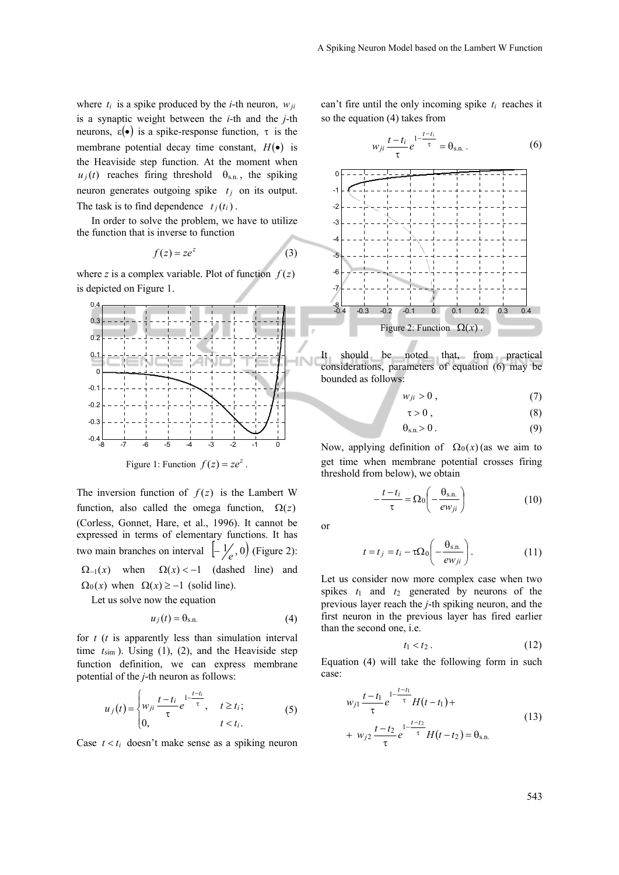where  $t_i$  is a spike produced by the *i*-th neuron,  $w_{ii}$ is a synaptic weight between the *i*-th and the *j*-th neurons,  $\varepsilon(\bullet)$  is a spike-response function,  $\tau$  is the membrane potential decay time constant,  $H(\bullet)$  is the Heaviside step function. At the moment when  $u_j(t)$  reaches firing threshold  $\theta_{s,n}$ , the spiking neuron generates outgoing spike  $t_i$  on its output. The task is to find dependence  $t_i(t_i)$ .

In order to solve the problem, we have to utilize the function that is inverse to function

$$
f(z) = ze^z \tag{3}
$$

where *z* is a complex variable. Plot of function  $f(z)$ is depicted on Figure 1.



The inversion function of  $f(z)$  is the Lambert W function, also called the omega function,  $\Omega(z)$ (Corless, Gonnet, Hare, et al., 1996). It cannot be expressed in terms of elementary functions. It has two main branches on interval  $\left[-\frac{1}{e}, 0\right)$  (Figure 2):  $\Omega_{-1}(x)$  when  $\Omega(x) < -1$  (dashed line) and

 $\Omega_0(x)$  when  $\Omega(x) \ge -1$  (solid line).

Let us solve now the equation

$$
u_j(t) = \theta_{s.n.}
$$
 (4)

for *t* (*t* is apparently less than simulation interval time  $t_{sim}$ ). Using (1), (2), and the Heaviside step function definition, we can express membrane potential of the *j*-th neuron as follows:

$$
u_j(t) = \begin{cases} w_{ji} \frac{t - t_i}{\tau} e^{-\frac{t - t_i}{\tau}}, & t \ge t_i; \\ 0, & t < t_i. \end{cases}
$$
 (5)

Case  $t < t_i$  doesn't make sense as a spiking neuron

can't fire until the only incoming spike  $t_i$  reaches it so the equation (4) takes from

$$
w_{ji} \frac{t - t_i}{\tau} e^{-\frac{1 - t_i}{\tau}} = \theta_{s.n.} \,. \tag{6}
$$



It should be noted that, from practical considerations, parameters of equation (6) may be bounded as follows:

$$
w_{ji} > 0, \tag{7}
$$

$$
\tau > 0 \tag{8}
$$

$$
\theta_{s,n} > 0. \tag{9}
$$

Now, applying definition of  $\Omega_0(x)$  (as we aim to get time when membrane potential crosses firing threshold from below), we obtain

$$
-\frac{t-t_i}{\tau} = \Omega_0 \left( -\frac{\theta_{\rm s.n.}}{ew_{ji}} \right) \tag{10}
$$

or

$$
t = t_j = t_i - \tau \Omega_0 \left( -\frac{\Theta_{\text{s.n.}}}{e w_{ji}} \right). \tag{11}
$$

Let us consider now more complex case when two spikes  $t_1$  and  $t_2$  generated by neurons of the previous layer reach the *j*-th spiking neuron, and the first neuron in the previous layer has fired earlier than the second one, i.e.

$$
t_1 < t_2 \tag{12}
$$

Equation (4) will take the following form in such case:

$$
w_{j1} \frac{t - t_1}{\tau} e^{-\frac{1 - t - t_1}{\tau}} H(t - t_1) +
$$
  
+ 
$$
w_{j2} \frac{t - t_2}{\tau} e^{-\frac{1 - t - t_2}{\tau}} H(t - t_2) = \theta_{s.n.}
$$
 (13)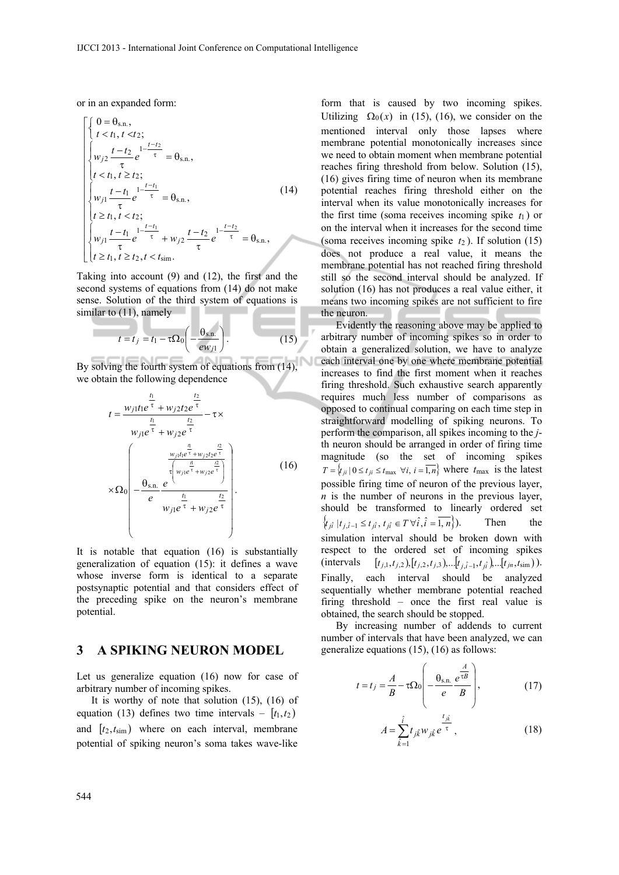or in an expanded form:

**COLLEGE** 

$$
\begin{cases}\n0 = \theta_{\text{s.n.}}, \\
t < t_1, t < t_2; \\
w_{j2} \frac{t - t_2}{\tau} e^{-\frac{1 - t_2}{\tau}} = \theta_{\text{s.n.}}, \\
t < t_1, t \ge t_2; \\
w_{j1} \frac{t - t_1}{\tau} e^{-\frac{1 - t_1}{\tau}} = \theta_{\text{s.n.}}, \\
t \ge t_1, t < t_2; \\
w_{j1} \frac{t - t_1}{\tau} e^{-\frac{1 - t_1}{\tau}} + w_{j2} \frac{t - t_2}{\tau} e^{-\frac{1 - t_2}{\tau}} = \theta_{\text{s.n.}}, \\
t \ge t_1, t \ge t_2, t < t_{\text{sim.}}\n\end{cases} (14)
$$

Taking into account (9) and (12), the first and the second systems of equations from (14) do not make sense. Solution of the third system of equations is similar to  $(11)$ , namely

$$
t = t_j = t_1 - \tau \Omega_0 \left( -\frac{\theta_{\rm s.n.}}{ew_{j1}} \right). \tag{15}
$$

By solving the fourth system of equations from (14), we obtain the following dependence

$$
t = \frac{w_{j1}t_1e^{\frac{t_1}{\tau}} + w_{j2}t_2e^{\frac{t_2}{\tau}}}{w_{j1}e^{\frac{t_1}{\tau}} + w_{j2}e^{\frac{t_2}{\tau}}} - \tau \times
$$
  

$$
w_{j1}e^{\frac{t_1}{\tau}} + w_{j2}e^{\frac{t_1}{\tau}}
$$
  

$$
\times \Omega_0 \left( -\frac{\frac{a}{\tau_1}\frac{a}{w_{j1}e^{\frac{t_1}{\tau}} + w_{j2}e^{\frac{t_2}{\tau}}}}{e^{\frac{t_1}{\tau_1}} + w_{j2}e^{\frac{t_2}{\tau}}} \right).
$$
 (16)

It is notable that equation (16) is substantially generalization of equation (15): it defines a wave whose inverse form is identical to a separate postsynaptic potential and that considers effect of the preceding spike on the neuron's membrane potential.

#### **3 A SPIKING NEURON MODEL**

Let us generalize equation (16) now for case of arbitrary number of incoming spikes.

It is worthy of note that solution (15), (16) of equation (13) defines two time intervals –  $[t_1,t_2]$ and  $[t_2, t_{sim}]$  where on each interval, membrane potential of spiking neuron's soma takes wave-like

form that is caused by two incoming spikes. Utilizing  $\Omega_0(x)$  in (15), (16), we consider on the mentioned interval only those lapses where membrane potential monotonically increases since we need to obtain moment when membrane potential reaches firing threshold from below. Solution (15), (16) gives firing time of neuron when its membrane potential reaches firing threshold either on the interval when its value monotonically increases for the first time (soma receives incoming spike  $t_1$ ) or on the interval when it increases for the second time (soma receives incoming spike *t*<sup>2</sup> ). If solution (15) does not produce a real value, it means the membrane potential has not reached firing threshold still so the second interval should be analyzed. If solution (16) has not produces a real value either, it means two incoming spikes are not sufficient to fire the neuron.

Evidently the reasoning above may be applied to arbitrary number of incoming spikes so in order to obtain a generalized solution, we have to analyze each interval one by one where membrane potential increases to find the first moment when it reaches firing threshold. Such exhaustive search apparently requires much less number of comparisons as opposed to continual comparing on each time step in straightforward modelling of spiking neurons. To perform the comparison, all spikes incoming to the *j*th neuron should be arranged in order of firing time magnitude (so the set of incoming spikes  $T = \{t_{ji} | 0 \le t_{ji} \le t_{\text{max}} \ \forall i, i = \overline{1,n} \}$  where  $t_{\text{max}}$  is the latest possible firing time of neuron of the previous layer, *n* is the number of neurons in the previous layer, should be transformed to linearly ordered set  $\{t_{j\hat{i}} | t_{j,\hat{i}-1} \le t_{j\hat{i}}, t_{j\hat{i}} \in T \,\forall \hat{i}, \hat{i} = \overline{1, n} \}.$  Then the simulation interval should be broken down with respect to the ordered set of incoming spikes  $(\text{intervals} \quad [t_{j,1}, t_{j,2}), [t_{j,2}, t_{j,3}), \dots, [t_{j,i-1}, t_{ji}), \dots, [t_{jn}, t_{\text{sim}}).$ Finally, each interval should be analyzed sequentially whether membrane potential reached firing threshold – once the first real value is obtained, the search should be stopped.

By increasing number of addends to current number of intervals that have been analyzed, we can generalize equations (15), (16) as follows:

$$
t = t_j = \frac{A}{B} - \tau \Omega_0 \left( -\frac{\theta_{\text{s.n.}}}{e} \frac{e^{\frac{A}{\tau B}}}{B} \right),\tag{17}
$$

$$
A = \sum_{\hat{k}=1}^{\hat{i}} t_{j\hat{k}} w_{j\hat{k}} e^{\frac{t_{j\hat{k}}}{\tau}},
$$
 (18)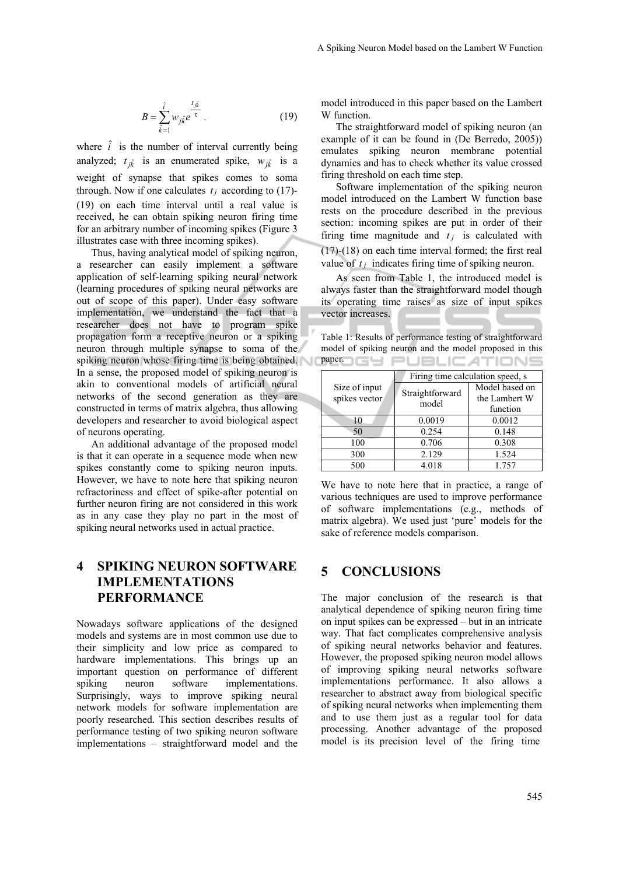$$
B = \sum_{\hat{k}=1}^{\hat{i}} w_{j\hat{k}} e^{\frac{t_{j\hat{k}}}{\tau}}.
$$
 (19)

where  $\hat{i}$  is the number of interval currently being analyzed;  $t_{jk}$  is an enumerated spike,  $w_{jk}$  is a weight of synapse that spikes comes to soma through. Now if one calculates  $t_i$  according to (17)-(19) on each time interval until a real value is received, he can obtain spiking neuron firing time for an arbitrary number of incoming spikes (Figure 3 illustrates case with three incoming spikes).

Thus, having analytical model of spiking neuron, a researcher can easily implement a software application of self-learning spiking neural network (learning procedures of spiking neural networks are out of scope of this paper). Under easy software implementation, we understand the fact that a researcher does not have to program spike propagation form a receptive neuron or a spiking neuron through multiple synapse to soma of the spiking neuron whose firing time is being obtained. In a sense, the proposed model of spiking neuron is akin to conventional models of artificial neural networks of the second generation as they are constructed in terms of matrix algebra, thus allowing developers and researcher to avoid biological aspect of neurons operating.

An additional advantage of the proposed model is that it can operate in a sequence mode when new spikes constantly come to spiking neuron inputs. However, we have to note here that spiking neuron refractoriness and effect of spike-after potential on further neuron firing are not considered in this work as in any case they play no part in the most of spiking neural networks used in actual practice.

# **4 SPIKING NEURON SOFTWARE IMPLEMENTATIONS PERFORMANCE**

Nowadays software applications of the designed models and systems are in most common use due to their simplicity and low price as compared to hardware implementations. This brings up an important question on performance of different spiking neuron software implementations. Surprisingly, ways to improve spiking neural network models for software implementation are poorly researched. This section describes results of performance testing of two spiking neuron software implementations – straightforward model and the model introduced in this paper based on the Lambert W function.

The straightforward model of spiking neuron (an example of it can be found in (De Berredo, 2005)) emulates spiking neuron membrane potential dynamics and has to check whether its value crossed firing threshold on each time step.

Software implementation of the spiking neuron model introduced on the Lambert W function base rests on the procedure described in the previous section: incoming spikes are put in order of their firing time magnitude and  $t_i$  is calculated with (17)-(18) on each time interval formed; the first real value of  $t_j$  indicates firing time of spiking neuron.

As seen from Table 1, the introduced model is always faster than the straightforward model though its operating time raises as size of input spikes vector increases.

Table 1: Results of performance testing of straightforward model of spiking neuron and the model proposed in this paper. **IGLY PUBLIC ATIONS** 

| Size of input<br>spikes vector | Firing time calculation speed, s |                                             |
|--------------------------------|----------------------------------|---------------------------------------------|
|                                | Straightforward<br>model         | Model based on<br>the Lambert W<br>function |
| 10                             | 0.0019                           | 0.0012                                      |
| 50                             | 0.254                            | 0.148                                       |
| 100                            | 0.706                            | 0.308                                       |
| 300                            | 2.129                            | 1.524                                       |
| 500                            | 4.018                            | 1.757                                       |

We have to note here that in practice, a range of various techniques are used to improve performance of software implementations (e.g., methods of matrix algebra). We used just 'pure' models for the sake of reference models comparison.

### **5 CONCLUSIONS**

The major conclusion of the research is that analytical dependence of spiking neuron firing time on input spikes can be expressed – but in an intricate way. That fact complicates comprehensive analysis of spiking neural networks behavior and features. However, the proposed spiking neuron model allows of improving spiking neural networks software implementations performance. It also allows a researcher to abstract away from biological specific of spiking neural networks when implementing them and to use them just as a regular tool for data processing. Another advantage of the proposed model is its precision level of the firing time